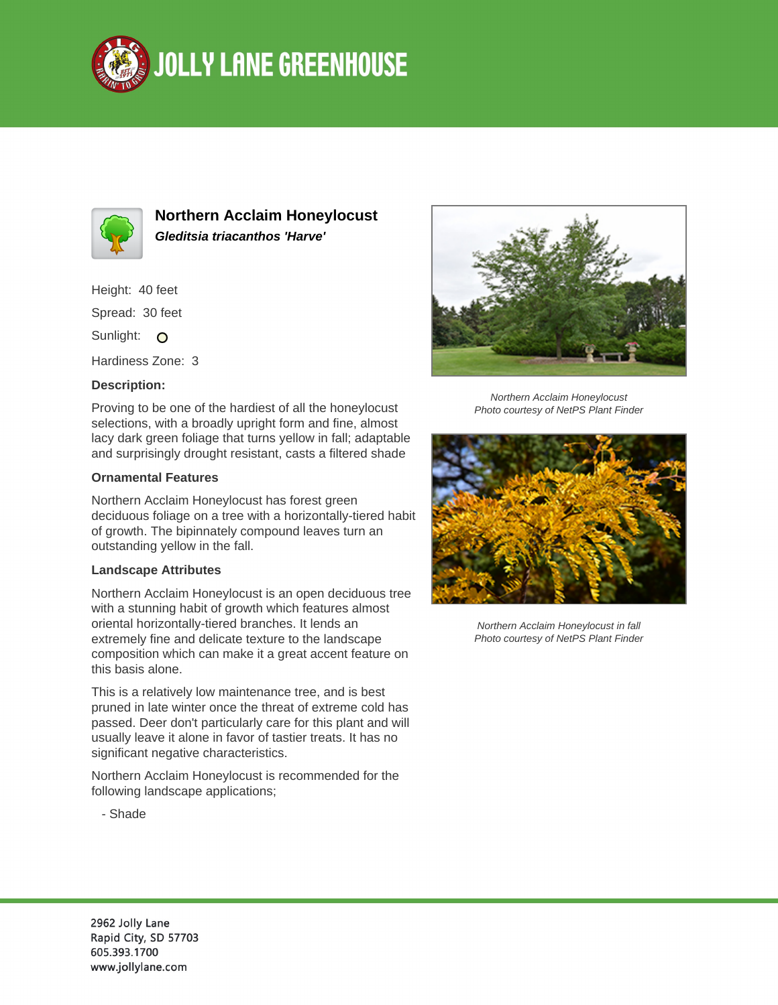



**Northern Acclaim Honeylocust Gleditsia triacanthos 'Harve'**

Height: 40 feet Spread: 30 feet

Sunlight: O

Hardiness Zone: 3

## **Description:**

Proving to be one of the hardiest of all the honeylocust selections, with a broadly upright form and fine, almost lacy dark green foliage that turns yellow in fall; adaptable and surprisingly drought resistant, casts a filtered shade

## **Ornamental Features**

Northern Acclaim Honeylocust has forest green deciduous foliage on a tree with a horizontally-tiered habit of growth. The bipinnately compound leaves turn an outstanding yellow in the fall.

## **Landscape Attributes**

Northern Acclaim Honeylocust is an open deciduous tree with a stunning habit of growth which features almost oriental horizontally-tiered branches. It lends an extremely fine and delicate texture to the landscape composition which can make it a great accent feature on this basis alone.

This is a relatively low maintenance tree, and is best pruned in late winter once the threat of extreme cold has passed. Deer don't particularly care for this plant and will usually leave it alone in favor of tastier treats. It has no significant negative characteristics.

Northern Acclaim Honeylocust is recommended for the following landscape applications;





Northern Acclaim Honeylocust Photo courtesy of NetPS Plant Finder



Northern Acclaim Honeylocust in fall Photo courtesy of NetPS Plant Finder

2962 Jolly Lane Rapid City, SD 57703 605.393.1700 www.jollylane.com